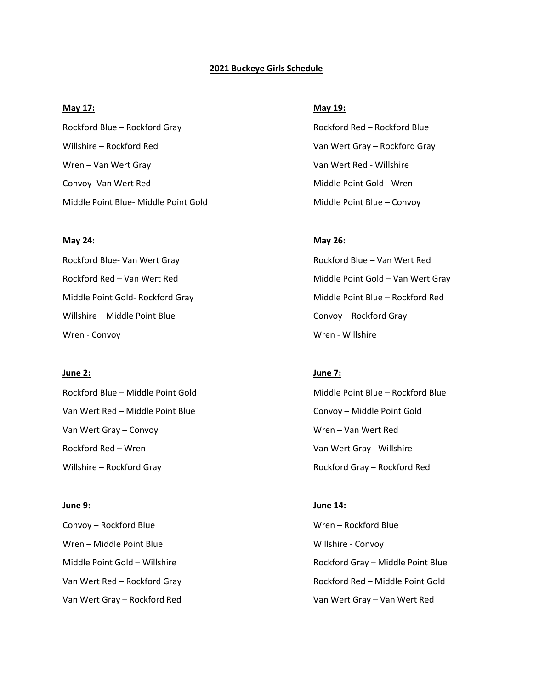# **2021 Buckeye Girls Schedule**

### **May 17: May 19:**

Rockford Blue – Rockford Gray Rockford Red – Rockford Blue Willshire – Rockford Red Van Wert Gray – Rockford Gray Wren – Van Wert Gray Van Wert Red - Willshire Convoy- Van Wert Red Middle Point Gold - Wren Middle Point Blue- Middle Point Gold Middle Point Blue – Convoy

Rockford Blue- Van Wert Gray North Controller Rockford Blue – Van Wert Red Willshire – Middle Point Blue Convoy – Rockford Gray Wren - Convoy **Wren - Willshire** 

# **June 2: June 7:**

Van Wert Red – Middle Point Blue Convoy – Middle Point Gold Van Wert Gray – Convoy Wren – Van Wert Red Rockford Red – Wren Van Wert Gray - Willshire Willshire – Rockford Gray **Millshire – Rockford Gray America** Rockford Gray – Rockford Red

## **June 9: June 14:**

Convoy – Rockford Blue Wren – Rockford Blue Wren – Middle Point Blue Willshire - Convoy

## **May 24: May 26:**

Rockford Red – Van Wert Red Middle Point Gold – Van Wert Gray Middle Point Gold- Rockford Gray Middle Point Blue – Rockford Red

Rockford Blue – Middle Point Gold Middle Point Blue – Rockford Blue

Middle Point Gold – Willshire **Rockford Gray – Middle Point Blue** Rockford Gray – Middle Point Blue Van Wert Red – Rockford Gray Rockford Red – Middle Point Gold Van Wert Gray – Rockford Red Van Wert Gray – Van Wert Red Van Wert Red Van Wert Red